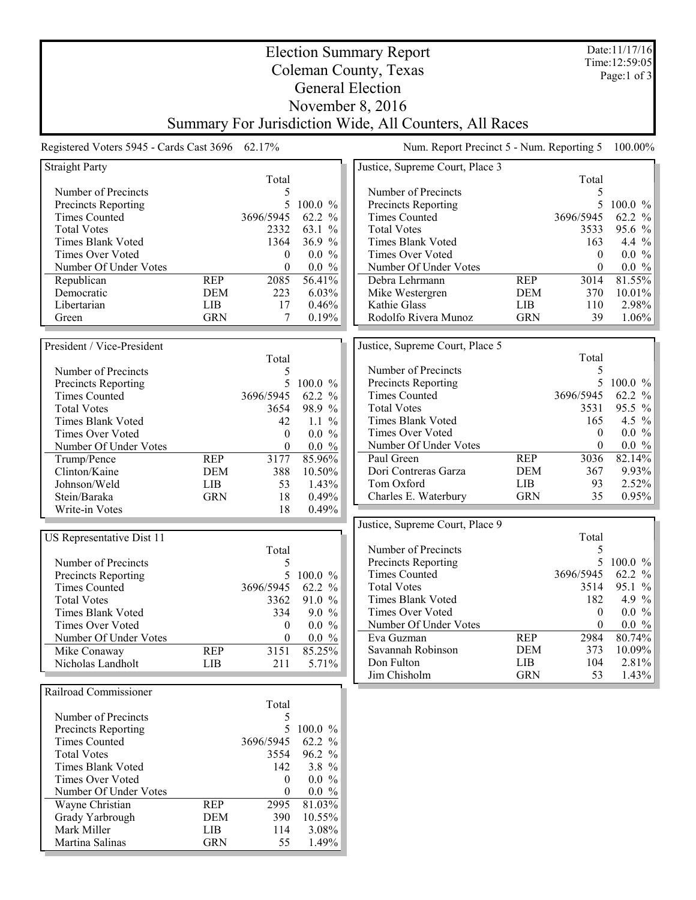| <b>Election Summary Report</b>                  |                          |                  |                       |                                                        |                   |              | Date:11/17/16         |
|-------------------------------------------------|--------------------------|------------------|-----------------------|--------------------------------------------------------|-------------------|--------------|-----------------------|
| Coleman County, Texas                           |                          |                  |                       |                                                        |                   |              | Time: 12:59:05        |
| <b>General Election</b>                         |                          |                  |                       |                                                        |                   |              | Page:1 of 3           |
|                                                 |                          |                  |                       |                                                        |                   |              |                       |
|                                                 |                          |                  |                       | November 8, 2016                                       |                   |              |                       |
|                                                 |                          |                  |                       | Summary For Jurisdiction Wide, All Counters, All Races |                   |              |                       |
| Registered Voters 5945 - Cards Cast 3696 62.17% |                          |                  |                       | Num. Report Precinct 5 - Num. Reporting 5              |                   |              | 100.00%               |
| <b>Straight Party</b>                           |                          |                  |                       | Justice, Supreme Court, Place 3                        |                   |              |                       |
| Number of Precincts                             |                          | Total<br>5       |                       | Number of Precincts                                    |                   | Total<br>5   |                       |
| <b>Precincts Reporting</b>                      |                          | 5                | 100.0%                | Precincts Reporting                                    |                   | 5            | $100.0 \%$            |
| <b>Times Counted</b>                            |                          | 3696/5945        | 62.2 %                | <b>Times Counted</b>                                   |                   | 3696/5945    | 62.2 %                |
| <b>Total Votes</b>                              |                          | 2332             | 63.1<br>$\frac{0}{0}$ | <b>Total Votes</b>                                     |                   | 3533         | 95.6 %                |
| <b>Times Blank Voted</b>                        |                          | 1364             | 36.9 %                | Times Blank Voted                                      |                   | 163          | 4.4 $%$               |
| <b>Times Over Voted</b>                         |                          | $\mathbf{0}$     | $0.0 \%$              | Times Over Voted                                       |                   | $\theta$     | 0.0 %                 |
| Number Of Under Votes                           |                          | $\boldsymbol{0}$ | $0.0 \%$              | Number Of Under Votes                                  |                   | $\theta$     | $0.0\,$ %             |
| Republican                                      | <b>REP</b>               | 2085             | 56.41%                | Debra Lehrmann                                         | <b>REP</b>        | 3014         | $81.55\%$             |
| Democratic                                      | <b>DEM</b>               | 223              | 6.03%                 | Mike Westergren                                        | <b>DEM</b>        | 370          | 10.01%                |
| Libertarian                                     | <b>LIB</b>               | 17               | 0.46%                 | Kathie Glass                                           | LIB               | 110          | 2.98%                 |
| Green                                           | <b>GRN</b>               | 7                | 0.19%                 | Rodolfo Rivera Munoz                                   | <b>GRN</b>        | 39           | 1.06%                 |
| President / Vice-President                      |                          |                  |                       | Justice, Supreme Court, Place 5                        |                   |              |                       |
|                                                 |                          | Total            |                       |                                                        |                   | Total        |                       |
| Number of Precincts                             |                          | 5                |                       | Number of Precincts                                    |                   | 5            |                       |
| Precincts Reporting                             |                          | 5                | 100.0 %               | Precincts Reporting                                    |                   | 5            | $100.0 \%$            |
| <b>Times Counted</b>                            |                          | 3696/5945        | 62.2 %                | <b>Times Counted</b>                                   |                   | 3696/5945    | 62.2 %                |
| <b>Total Votes</b>                              |                          | 3654             | 98.9 %                | <b>Total Votes</b>                                     |                   | 3531         | 95.5 %                |
| Times Blank Voted                               |                          | 42               | 1.1 $%$               | Times Blank Voted                                      |                   | 165          | 4.5 $%$               |
| <b>Times Over Voted</b>                         |                          | $\boldsymbol{0}$ | $0.0 \%$              | Times Over Voted                                       |                   | $\mathbf{0}$ | $0.0 \%$              |
| Number Of Under Votes                           |                          | $\boldsymbol{0}$ | $0.0 \%$              | Number Of Under Votes                                  |                   | $\theta$     | $0.0 \%$              |
| Trump/Pence                                     | <b>REP</b>               | 3177             | 85.96%                | Paul Green                                             | <b>REP</b>        | 3036         | 82.14%                |
| Clinton/Kaine                                   | <b>DEM</b>               | 388              | 10.50%                | Dori Contreras Garza                                   | <b>DEM</b>        | 367          | 9.93%                 |
| Johnson/Weld                                    | LIB                      | 53               | 1.43%                 | Tom Oxford                                             | <b>LIB</b>        | 93           | 2.52%                 |
| Stein/Baraka                                    | <b>GRN</b>               | 18               | 0.49%                 | Charles E. Waterbury                                   | <b>GRN</b>        | 35           | 0.95%                 |
| Write-in Votes                                  |                          | 18               | 0.49%                 |                                                        |                   |              |                       |
| US Representative Dist 11                       |                          |                  |                       | Justice, Supreme Court, Place 9                        |                   | Total        |                       |
|                                                 |                          | Total            |                       | Number of Precincts                                    |                   | 5            |                       |
| Number of Precincts                             |                          | 5                |                       | Precincts Reporting                                    |                   |              | 5 100.0 $\%$          |
| Precincts Reporting                             |                          |                  | 5 100.0 %             | <b>Times Counted</b>                                   |                   | 3696/5945    | 62.2 $%$              |
| <b>Times Counted</b>                            |                          | 3696/5945        | 62.2 %                | <b>Total Votes</b>                                     |                   | 3514         | 95.1 %                |
| <b>Total Votes</b>                              |                          | 3362             | 91.0 %                | Times Blank Voted                                      |                   | 182          | 4.9 %                 |
| Times Blank Voted                               |                          | 334              | $9.0 \%$              | Times Over Voted                                       |                   | $\mathbf{0}$ | $0.0 \%$              |
| Times Over Voted                                |                          | $\boldsymbol{0}$ | $0.0 \%$              | Number Of Under Votes                                  |                   | $\theta$     | $0.0 \%$              |
| Number Of Under Votes                           |                          | 0                | $0.0 \%$              | Eva Guzman                                             | <b>REP</b>        | 2984         | $80.74\%$             |
| Mike Conaway<br>Nicholas Landholt               | <b>REP</b><br><b>LIB</b> | 3151<br>211      | 85.25%<br>5.71%       | Savannah Robinson<br>Don Fulton                        | <b>DEM</b><br>LIB | 373<br>104   | $10.09\%$<br>$2.81\%$ |
|                                                 |                          |                  |                       | Jim Chisholm                                           | <b>GRN</b>        | 53           | $1.43\%$              |
| Railroad Commissioner                           |                          |                  |                       |                                                        |                   |              |                       |
|                                                 |                          | Total            |                       |                                                        |                   |              |                       |
| Number of Precincts                             |                          | 5                |                       |                                                        |                   |              |                       |
| Precincts Reporting                             |                          |                  | 5 100.0 %             |                                                        |                   |              |                       |
| <b>Times Counted</b>                            |                          | 3696/5945        | 62.2 %                |                                                        |                   |              |                       |
| <b>Total Votes</b>                              |                          | 3554             | 96.2 %                |                                                        |                   |              |                       |
| Times Blank Voted                               |                          | 142              | 3.8 $%$               |                                                        |                   |              |                       |
| Times Over Voted                                |                          | 0                | $0.0 \%$              |                                                        |                   |              |                       |
| Number Of Under Votes                           | <b>REP</b>               | 0<br>2995        | $0.0 \%$<br>81.03%    |                                                        |                   |              |                       |
| Wayne Christian<br>Grady Yarbrough              | <b>DEM</b>               | 390              | 10.55%                |                                                        |                   |              |                       |
| Mark Miller                                     | LIB                      | 114              | 3.08%                 |                                                        |                   |              |                       |
| Martina Salinas                                 | <b>GRN</b>               | 55               | 1.49%                 |                                                        |                   |              |                       |
|                                                 |                          |                  |                       |                                                        |                   |              |                       |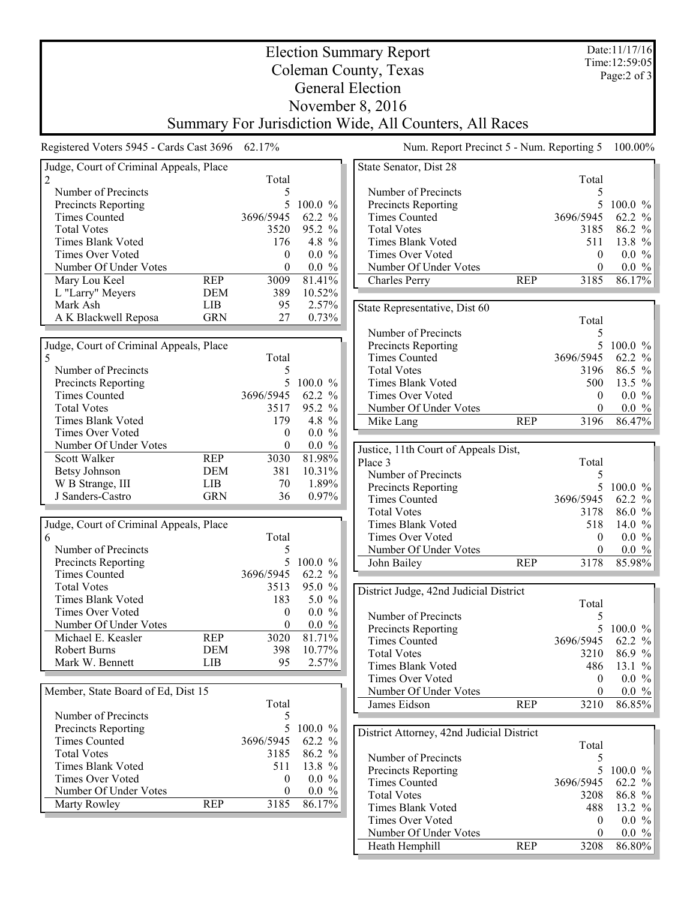| Time: 12:59:05<br>Coleman County, Texas<br>Page: $2$ of $3$<br><b>General Election</b><br>November 8, 2016<br>Summary For Jurisdiction Wide, All Counters, All Races<br>Registered Voters 5945 - Cards Cast 3696 62.17%<br>Num. Report Precinct 5 - Num. Reporting 5<br>100.00%<br>Judge, Court of Criminal Appeals, Place<br>State Senator, Dist 28<br>2<br>Total<br>Total<br>Number of Precincts<br>5<br>Number of Precincts<br>5<br>5<br>5<br><b>Precincts Reporting</b><br>$100.0 \%$<br>Precincts Reporting<br>$100.0 \%$<br><b>Times Counted</b><br>3696/5945<br>62.2 %<br><b>Times Counted</b><br>3696/5945<br>62.2 %<br>95.2 %<br><b>Total Votes</b><br><b>Total Votes</b><br>3520<br>3185<br>86.2 %<br>Times Blank Voted<br>176<br>4.8 $\%$<br>Times Blank Voted<br>511<br>13.8 %<br>$0.0 \%$<br>$0.0 \%$<br>Times Over Voted<br>Times Over Voted<br>$\theta$<br>$\theta$<br>Number Of Under Votes<br>$0.0 \%$<br>Number Of Under Votes<br>$0.0 \%$<br>$\theta$<br>$\theta$<br>81.41%<br>86.17%<br>Mary Lou Keel<br><b>REP</b><br>3009<br><b>Charles Perry</b><br><b>REP</b><br>3185<br>L "Larry" Meyers<br>389<br>10.52%<br>DEM<br>2.57%<br>Mark Ash<br><b>LIB</b><br>95<br>State Representative, Dist 60<br><b>GRN</b><br>A K Blackwell Reposa<br>27<br>0.73%<br>Total<br>Number of Precincts<br>5<br>5<br>Judge, Court of Criminal Appeals, Place<br>Precincts Reporting<br>$100.0 \%$<br>3696/5945<br>5<br>Total<br><b>Times Counted</b><br>62.2 %<br>Number of Precincts<br>5<br><b>Total Votes</b><br>3196<br>86.5 %<br>5<br>13.5 %<br>Precincts Reporting<br>$100.0 \%$<br>Times Blank Voted<br>500<br><b>Times Counted</b><br>3696/5945<br>62.2 %<br>Times Over Voted<br>$0.0 \%$<br>$\theta$<br><b>Total Votes</b><br>3517<br>95.2 %<br>Number Of Under Votes<br>$0.0 \%$<br>$\theta$<br>4.8 %<br>86.47%<br>Times Blank Voted<br>179<br><b>REP</b><br>3196<br>Mike Lang<br>Times Over Voted<br>$0.0 \%$<br>$\overline{0}$<br>$0.0 \%$<br>Number Of Under Votes<br>$\theta$<br>Justice, 11th Court of Appeals Dist,<br><b>REP</b><br>81.98%<br>Scott Walker<br>3030<br>Place 3<br>Total<br>10.31%<br><b>Betsy Johnson</b><br><b>DEM</b><br>381<br>Number of Precincts<br>5<br>W B Strange, III<br>70<br>1.89%<br>LIB<br>5<br>$100.0 \%$<br>Precincts Reporting<br>J Sanders-Castro<br><b>GRN</b><br>36<br>$0.97\%$<br>3696/5945<br>62.2 %<br><b>Times Counted</b><br>86.0 %<br><b>Total Votes</b><br>3178<br>Judge, Court of Criminal Appeals, Place<br>Times Blank Voted<br>14.0 %<br>518<br>Total<br>Times Over Voted<br>$0.0 \%$<br>6<br>$\mathbf{0}$<br>Number of Precincts<br>5<br>$0.0 \%$<br>Number Of Under Votes<br>$\theta$<br>5 100.0 %<br><b>Precincts Reporting</b><br>John Bailey<br><b>REP</b><br>85.98%<br>3178<br>62.2 %<br><b>Times Counted</b><br>3696/5945<br>95.0 %<br><b>Total Votes</b><br>3513<br>District Judge, 42nd Judicial District<br>Times Blank Voted<br>5.0 $%$<br>183<br>Total<br>Times Over Voted<br>$0.0 \%$<br>$\overline{0}$<br>Number of Precincts<br>5<br>Number Of Under Votes<br>$\theta$<br>$0.0 \%$<br>5<br>Precincts Reporting<br>$100.0 \%$<br><b>REP</b><br>81.71%<br>Michael E. Keasler<br>3020<br><b>Times Counted</b><br>3696/5945<br>62.2 %<br>10.77%<br>Robert Burns<br><b>DEM</b><br>398<br><b>Total Votes</b><br>3210<br>86.9 %<br>Mark W. Bennett<br>LIB<br>95<br>2.57%<br>Times Blank Voted<br>13.1 %<br>486<br>Times Over Voted<br>$0.0 \%$<br>$\mathbf{0}$<br>Member, State Board of Ed, Dist 15<br>Number Of Under Votes<br>$0.0 \%$<br>$\theta$<br>Total<br>86.85%<br><b>REP</b><br>3210<br>James Eidson<br>Number of Precincts<br>5<br>5<br><b>Precincts Reporting</b><br>$100.0 \%$<br>District Attorney, 42nd Judicial District<br><b>Times Counted</b><br>3696/5945<br>62.2 %<br>Total<br><b>Total Votes</b><br>3185<br>86.2 %<br>Number of Precincts<br>5<br>13.8 %<br>Times Blank Voted<br>511<br>5<br>Precincts Reporting<br>$100.0 \%$<br>Times Over Voted<br>$0.0 \%$<br>$\theta$<br><b>Times Counted</b><br>3696/5945<br>62.2 %<br>Number Of Under Votes<br>$0.0 \%$<br>0<br><b>Total Votes</b><br>86.8%<br>3208<br>86.17%<br>Marty Rowley<br><b>REP</b><br>3185<br>Times Blank Voted<br>13.2 %<br>488<br>$0.0 \%$<br>Times Over Voted<br>$\theta$<br>Number Of Under Votes<br>$0.0 \%$<br>$\theta$ | <b>Election Summary Report</b> |  |  |  |  |  | Date:11/17/16 |  |
|--------------------------------------------------------------------------------------------------------------------------------------------------------------------------------------------------------------------------------------------------------------------------------------------------------------------------------------------------------------------------------------------------------------------------------------------------------------------------------------------------------------------------------------------------------------------------------------------------------------------------------------------------------------------------------------------------------------------------------------------------------------------------------------------------------------------------------------------------------------------------------------------------------------------------------------------------------------------------------------------------------------------------------------------------------------------------------------------------------------------------------------------------------------------------------------------------------------------------------------------------------------------------------------------------------------------------------------------------------------------------------------------------------------------------------------------------------------------------------------------------------------------------------------------------------------------------------------------------------------------------------------------------------------------------------------------------------------------------------------------------------------------------------------------------------------------------------------------------------------------------------------------------------------------------------------------------------------------------------------------------------------------------------------------------------------------------------------------------------------------------------------------------------------------------------------------------------------------------------------------------------------------------------------------------------------------------------------------------------------------------------------------------------------------------------------------------------------------------------------------------------------------------------------------------------------------------------------------------------------------------------------------------------------------------------------------------------------------------------------------------------------------------------------------------------------------------------------------------------------------------------------------------------------------------------------------------------------------------------------------------------------------------------------------------------------------------------------------------------------------------------------------------------------------------------------------------------------------------------------------------------------------------------------------------------------------------------------------------------------------------------------------------------------------------------------------------------------------------------------------------------------------------------------------------------------------------------------------------------------------------------------------------------------------------------------------------------------------------------------------------------------------------------------------------------------------------------------------------------------------------------------------------------------------------------------------------------------------------------------------------------------------------------------------------------------------------------------------------------------------------------------------------------------------------------------------------------------------------------------------------------------------------------------------|--------------------------------|--|--|--|--|--|---------------|--|
|                                                                                                                                                                                                                                                                                                                                                                                                                                                                                                                                                                                                                                                                                                                                                                                                                                                                                                                                                                                                                                                                                                                                                                                                                                                                                                                                                                                                                                                                                                                                                                                                                                                                                                                                                                                                                                                                                                                                                                                                                                                                                                                                                                                                                                                                                                                                                                                                                                                                                                                                                                                                                                                                                                                                                                                                                                                                                                                                                                                                                                                                                                                                                                                                                                                                                                                                                                                                                                                                                                                                                                                                                                                                                                                                                                                                                                                                                                                                                                                                                                                                                                                                                                                                                                                                                            |                                |  |  |  |  |  |               |  |
|                                                                                                                                                                                                                                                                                                                                                                                                                                                                                                                                                                                                                                                                                                                                                                                                                                                                                                                                                                                                                                                                                                                                                                                                                                                                                                                                                                                                                                                                                                                                                                                                                                                                                                                                                                                                                                                                                                                                                                                                                                                                                                                                                                                                                                                                                                                                                                                                                                                                                                                                                                                                                                                                                                                                                                                                                                                                                                                                                                                                                                                                                                                                                                                                                                                                                                                                                                                                                                                                                                                                                                                                                                                                                                                                                                                                                                                                                                                                                                                                                                                                                                                                                                                                                                                                                            |                                |  |  |  |  |  |               |  |
|                                                                                                                                                                                                                                                                                                                                                                                                                                                                                                                                                                                                                                                                                                                                                                                                                                                                                                                                                                                                                                                                                                                                                                                                                                                                                                                                                                                                                                                                                                                                                                                                                                                                                                                                                                                                                                                                                                                                                                                                                                                                                                                                                                                                                                                                                                                                                                                                                                                                                                                                                                                                                                                                                                                                                                                                                                                                                                                                                                                                                                                                                                                                                                                                                                                                                                                                                                                                                                                                                                                                                                                                                                                                                                                                                                                                                                                                                                                                                                                                                                                                                                                                                                                                                                                                                            |                                |  |  |  |  |  |               |  |
|                                                                                                                                                                                                                                                                                                                                                                                                                                                                                                                                                                                                                                                                                                                                                                                                                                                                                                                                                                                                                                                                                                                                                                                                                                                                                                                                                                                                                                                                                                                                                                                                                                                                                                                                                                                                                                                                                                                                                                                                                                                                                                                                                                                                                                                                                                                                                                                                                                                                                                                                                                                                                                                                                                                                                                                                                                                                                                                                                                                                                                                                                                                                                                                                                                                                                                                                                                                                                                                                                                                                                                                                                                                                                                                                                                                                                                                                                                                                                                                                                                                                                                                                                                                                                                                                                            |                                |  |  |  |  |  |               |  |
|                                                                                                                                                                                                                                                                                                                                                                                                                                                                                                                                                                                                                                                                                                                                                                                                                                                                                                                                                                                                                                                                                                                                                                                                                                                                                                                                                                                                                                                                                                                                                                                                                                                                                                                                                                                                                                                                                                                                                                                                                                                                                                                                                                                                                                                                                                                                                                                                                                                                                                                                                                                                                                                                                                                                                                                                                                                                                                                                                                                                                                                                                                                                                                                                                                                                                                                                                                                                                                                                                                                                                                                                                                                                                                                                                                                                                                                                                                                                                                                                                                                                                                                                                                                                                                                                                            |                                |  |  |  |  |  |               |  |
|                                                                                                                                                                                                                                                                                                                                                                                                                                                                                                                                                                                                                                                                                                                                                                                                                                                                                                                                                                                                                                                                                                                                                                                                                                                                                                                                                                                                                                                                                                                                                                                                                                                                                                                                                                                                                                                                                                                                                                                                                                                                                                                                                                                                                                                                                                                                                                                                                                                                                                                                                                                                                                                                                                                                                                                                                                                                                                                                                                                                                                                                                                                                                                                                                                                                                                                                                                                                                                                                                                                                                                                                                                                                                                                                                                                                                                                                                                                                                                                                                                                                                                                                                                                                                                                                                            |                                |  |  |  |  |  |               |  |
|                                                                                                                                                                                                                                                                                                                                                                                                                                                                                                                                                                                                                                                                                                                                                                                                                                                                                                                                                                                                                                                                                                                                                                                                                                                                                                                                                                                                                                                                                                                                                                                                                                                                                                                                                                                                                                                                                                                                                                                                                                                                                                                                                                                                                                                                                                                                                                                                                                                                                                                                                                                                                                                                                                                                                                                                                                                                                                                                                                                                                                                                                                                                                                                                                                                                                                                                                                                                                                                                                                                                                                                                                                                                                                                                                                                                                                                                                                                                                                                                                                                                                                                                                                                                                                                                                            |                                |  |  |  |  |  |               |  |
|                                                                                                                                                                                                                                                                                                                                                                                                                                                                                                                                                                                                                                                                                                                                                                                                                                                                                                                                                                                                                                                                                                                                                                                                                                                                                                                                                                                                                                                                                                                                                                                                                                                                                                                                                                                                                                                                                                                                                                                                                                                                                                                                                                                                                                                                                                                                                                                                                                                                                                                                                                                                                                                                                                                                                                                                                                                                                                                                                                                                                                                                                                                                                                                                                                                                                                                                                                                                                                                                                                                                                                                                                                                                                                                                                                                                                                                                                                                                                                                                                                                                                                                                                                                                                                                                                            |                                |  |  |  |  |  |               |  |
|                                                                                                                                                                                                                                                                                                                                                                                                                                                                                                                                                                                                                                                                                                                                                                                                                                                                                                                                                                                                                                                                                                                                                                                                                                                                                                                                                                                                                                                                                                                                                                                                                                                                                                                                                                                                                                                                                                                                                                                                                                                                                                                                                                                                                                                                                                                                                                                                                                                                                                                                                                                                                                                                                                                                                                                                                                                                                                                                                                                                                                                                                                                                                                                                                                                                                                                                                                                                                                                                                                                                                                                                                                                                                                                                                                                                                                                                                                                                                                                                                                                                                                                                                                                                                                                                                            |                                |  |  |  |  |  |               |  |
|                                                                                                                                                                                                                                                                                                                                                                                                                                                                                                                                                                                                                                                                                                                                                                                                                                                                                                                                                                                                                                                                                                                                                                                                                                                                                                                                                                                                                                                                                                                                                                                                                                                                                                                                                                                                                                                                                                                                                                                                                                                                                                                                                                                                                                                                                                                                                                                                                                                                                                                                                                                                                                                                                                                                                                                                                                                                                                                                                                                                                                                                                                                                                                                                                                                                                                                                                                                                                                                                                                                                                                                                                                                                                                                                                                                                                                                                                                                                                                                                                                                                                                                                                                                                                                                                                            |                                |  |  |  |  |  |               |  |
|                                                                                                                                                                                                                                                                                                                                                                                                                                                                                                                                                                                                                                                                                                                                                                                                                                                                                                                                                                                                                                                                                                                                                                                                                                                                                                                                                                                                                                                                                                                                                                                                                                                                                                                                                                                                                                                                                                                                                                                                                                                                                                                                                                                                                                                                                                                                                                                                                                                                                                                                                                                                                                                                                                                                                                                                                                                                                                                                                                                                                                                                                                                                                                                                                                                                                                                                                                                                                                                                                                                                                                                                                                                                                                                                                                                                                                                                                                                                                                                                                                                                                                                                                                                                                                                                                            |                                |  |  |  |  |  |               |  |
|                                                                                                                                                                                                                                                                                                                                                                                                                                                                                                                                                                                                                                                                                                                                                                                                                                                                                                                                                                                                                                                                                                                                                                                                                                                                                                                                                                                                                                                                                                                                                                                                                                                                                                                                                                                                                                                                                                                                                                                                                                                                                                                                                                                                                                                                                                                                                                                                                                                                                                                                                                                                                                                                                                                                                                                                                                                                                                                                                                                                                                                                                                                                                                                                                                                                                                                                                                                                                                                                                                                                                                                                                                                                                                                                                                                                                                                                                                                                                                                                                                                                                                                                                                                                                                                                                            |                                |  |  |  |  |  |               |  |
|                                                                                                                                                                                                                                                                                                                                                                                                                                                                                                                                                                                                                                                                                                                                                                                                                                                                                                                                                                                                                                                                                                                                                                                                                                                                                                                                                                                                                                                                                                                                                                                                                                                                                                                                                                                                                                                                                                                                                                                                                                                                                                                                                                                                                                                                                                                                                                                                                                                                                                                                                                                                                                                                                                                                                                                                                                                                                                                                                                                                                                                                                                                                                                                                                                                                                                                                                                                                                                                                                                                                                                                                                                                                                                                                                                                                                                                                                                                                                                                                                                                                                                                                                                                                                                                                                            |                                |  |  |  |  |  |               |  |
|                                                                                                                                                                                                                                                                                                                                                                                                                                                                                                                                                                                                                                                                                                                                                                                                                                                                                                                                                                                                                                                                                                                                                                                                                                                                                                                                                                                                                                                                                                                                                                                                                                                                                                                                                                                                                                                                                                                                                                                                                                                                                                                                                                                                                                                                                                                                                                                                                                                                                                                                                                                                                                                                                                                                                                                                                                                                                                                                                                                                                                                                                                                                                                                                                                                                                                                                                                                                                                                                                                                                                                                                                                                                                                                                                                                                                                                                                                                                                                                                                                                                                                                                                                                                                                                                                            |                                |  |  |  |  |  |               |  |
|                                                                                                                                                                                                                                                                                                                                                                                                                                                                                                                                                                                                                                                                                                                                                                                                                                                                                                                                                                                                                                                                                                                                                                                                                                                                                                                                                                                                                                                                                                                                                                                                                                                                                                                                                                                                                                                                                                                                                                                                                                                                                                                                                                                                                                                                                                                                                                                                                                                                                                                                                                                                                                                                                                                                                                                                                                                                                                                                                                                                                                                                                                                                                                                                                                                                                                                                                                                                                                                                                                                                                                                                                                                                                                                                                                                                                                                                                                                                                                                                                                                                                                                                                                                                                                                                                            |                                |  |  |  |  |  |               |  |
|                                                                                                                                                                                                                                                                                                                                                                                                                                                                                                                                                                                                                                                                                                                                                                                                                                                                                                                                                                                                                                                                                                                                                                                                                                                                                                                                                                                                                                                                                                                                                                                                                                                                                                                                                                                                                                                                                                                                                                                                                                                                                                                                                                                                                                                                                                                                                                                                                                                                                                                                                                                                                                                                                                                                                                                                                                                                                                                                                                                                                                                                                                                                                                                                                                                                                                                                                                                                                                                                                                                                                                                                                                                                                                                                                                                                                                                                                                                                                                                                                                                                                                                                                                                                                                                                                            |                                |  |  |  |  |  |               |  |
|                                                                                                                                                                                                                                                                                                                                                                                                                                                                                                                                                                                                                                                                                                                                                                                                                                                                                                                                                                                                                                                                                                                                                                                                                                                                                                                                                                                                                                                                                                                                                                                                                                                                                                                                                                                                                                                                                                                                                                                                                                                                                                                                                                                                                                                                                                                                                                                                                                                                                                                                                                                                                                                                                                                                                                                                                                                                                                                                                                                                                                                                                                                                                                                                                                                                                                                                                                                                                                                                                                                                                                                                                                                                                                                                                                                                                                                                                                                                                                                                                                                                                                                                                                                                                                                                                            |                                |  |  |  |  |  |               |  |
|                                                                                                                                                                                                                                                                                                                                                                                                                                                                                                                                                                                                                                                                                                                                                                                                                                                                                                                                                                                                                                                                                                                                                                                                                                                                                                                                                                                                                                                                                                                                                                                                                                                                                                                                                                                                                                                                                                                                                                                                                                                                                                                                                                                                                                                                                                                                                                                                                                                                                                                                                                                                                                                                                                                                                                                                                                                                                                                                                                                                                                                                                                                                                                                                                                                                                                                                                                                                                                                                                                                                                                                                                                                                                                                                                                                                                                                                                                                                                                                                                                                                                                                                                                                                                                                                                            |                                |  |  |  |  |  |               |  |
|                                                                                                                                                                                                                                                                                                                                                                                                                                                                                                                                                                                                                                                                                                                                                                                                                                                                                                                                                                                                                                                                                                                                                                                                                                                                                                                                                                                                                                                                                                                                                                                                                                                                                                                                                                                                                                                                                                                                                                                                                                                                                                                                                                                                                                                                                                                                                                                                                                                                                                                                                                                                                                                                                                                                                                                                                                                                                                                                                                                                                                                                                                                                                                                                                                                                                                                                                                                                                                                                                                                                                                                                                                                                                                                                                                                                                                                                                                                                                                                                                                                                                                                                                                                                                                                                                            |                                |  |  |  |  |  |               |  |
|                                                                                                                                                                                                                                                                                                                                                                                                                                                                                                                                                                                                                                                                                                                                                                                                                                                                                                                                                                                                                                                                                                                                                                                                                                                                                                                                                                                                                                                                                                                                                                                                                                                                                                                                                                                                                                                                                                                                                                                                                                                                                                                                                                                                                                                                                                                                                                                                                                                                                                                                                                                                                                                                                                                                                                                                                                                                                                                                                                                                                                                                                                                                                                                                                                                                                                                                                                                                                                                                                                                                                                                                                                                                                                                                                                                                                                                                                                                                                                                                                                                                                                                                                                                                                                                                                            |                                |  |  |  |  |  |               |  |
|                                                                                                                                                                                                                                                                                                                                                                                                                                                                                                                                                                                                                                                                                                                                                                                                                                                                                                                                                                                                                                                                                                                                                                                                                                                                                                                                                                                                                                                                                                                                                                                                                                                                                                                                                                                                                                                                                                                                                                                                                                                                                                                                                                                                                                                                                                                                                                                                                                                                                                                                                                                                                                                                                                                                                                                                                                                                                                                                                                                                                                                                                                                                                                                                                                                                                                                                                                                                                                                                                                                                                                                                                                                                                                                                                                                                                                                                                                                                                                                                                                                                                                                                                                                                                                                                                            |                                |  |  |  |  |  |               |  |
|                                                                                                                                                                                                                                                                                                                                                                                                                                                                                                                                                                                                                                                                                                                                                                                                                                                                                                                                                                                                                                                                                                                                                                                                                                                                                                                                                                                                                                                                                                                                                                                                                                                                                                                                                                                                                                                                                                                                                                                                                                                                                                                                                                                                                                                                                                                                                                                                                                                                                                                                                                                                                                                                                                                                                                                                                                                                                                                                                                                                                                                                                                                                                                                                                                                                                                                                                                                                                                                                                                                                                                                                                                                                                                                                                                                                                                                                                                                                                                                                                                                                                                                                                                                                                                                                                            |                                |  |  |  |  |  |               |  |
|                                                                                                                                                                                                                                                                                                                                                                                                                                                                                                                                                                                                                                                                                                                                                                                                                                                                                                                                                                                                                                                                                                                                                                                                                                                                                                                                                                                                                                                                                                                                                                                                                                                                                                                                                                                                                                                                                                                                                                                                                                                                                                                                                                                                                                                                                                                                                                                                                                                                                                                                                                                                                                                                                                                                                                                                                                                                                                                                                                                                                                                                                                                                                                                                                                                                                                                                                                                                                                                                                                                                                                                                                                                                                                                                                                                                                                                                                                                                                                                                                                                                                                                                                                                                                                                                                            |                                |  |  |  |  |  |               |  |
|                                                                                                                                                                                                                                                                                                                                                                                                                                                                                                                                                                                                                                                                                                                                                                                                                                                                                                                                                                                                                                                                                                                                                                                                                                                                                                                                                                                                                                                                                                                                                                                                                                                                                                                                                                                                                                                                                                                                                                                                                                                                                                                                                                                                                                                                                                                                                                                                                                                                                                                                                                                                                                                                                                                                                                                                                                                                                                                                                                                                                                                                                                                                                                                                                                                                                                                                                                                                                                                                                                                                                                                                                                                                                                                                                                                                                                                                                                                                                                                                                                                                                                                                                                                                                                                                                            |                                |  |  |  |  |  |               |  |
|                                                                                                                                                                                                                                                                                                                                                                                                                                                                                                                                                                                                                                                                                                                                                                                                                                                                                                                                                                                                                                                                                                                                                                                                                                                                                                                                                                                                                                                                                                                                                                                                                                                                                                                                                                                                                                                                                                                                                                                                                                                                                                                                                                                                                                                                                                                                                                                                                                                                                                                                                                                                                                                                                                                                                                                                                                                                                                                                                                                                                                                                                                                                                                                                                                                                                                                                                                                                                                                                                                                                                                                                                                                                                                                                                                                                                                                                                                                                                                                                                                                                                                                                                                                                                                                                                            |                                |  |  |  |  |  |               |  |
|                                                                                                                                                                                                                                                                                                                                                                                                                                                                                                                                                                                                                                                                                                                                                                                                                                                                                                                                                                                                                                                                                                                                                                                                                                                                                                                                                                                                                                                                                                                                                                                                                                                                                                                                                                                                                                                                                                                                                                                                                                                                                                                                                                                                                                                                                                                                                                                                                                                                                                                                                                                                                                                                                                                                                                                                                                                                                                                                                                                                                                                                                                                                                                                                                                                                                                                                                                                                                                                                                                                                                                                                                                                                                                                                                                                                                                                                                                                                                                                                                                                                                                                                                                                                                                                                                            |                                |  |  |  |  |  |               |  |
|                                                                                                                                                                                                                                                                                                                                                                                                                                                                                                                                                                                                                                                                                                                                                                                                                                                                                                                                                                                                                                                                                                                                                                                                                                                                                                                                                                                                                                                                                                                                                                                                                                                                                                                                                                                                                                                                                                                                                                                                                                                                                                                                                                                                                                                                                                                                                                                                                                                                                                                                                                                                                                                                                                                                                                                                                                                                                                                                                                                                                                                                                                                                                                                                                                                                                                                                                                                                                                                                                                                                                                                                                                                                                                                                                                                                                                                                                                                                                                                                                                                                                                                                                                                                                                                                                            |                                |  |  |  |  |  |               |  |
|                                                                                                                                                                                                                                                                                                                                                                                                                                                                                                                                                                                                                                                                                                                                                                                                                                                                                                                                                                                                                                                                                                                                                                                                                                                                                                                                                                                                                                                                                                                                                                                                                                                                                                                                                                                                                                                                                                                                                                                                                                                                                                                                                                                                                                                                                                                                                                                                                                                                                                                                                                                                                                                                                                                                                                                                                                                                                                                                                                                                                                                                                                                                                                                                                                                                                                                                                                                                                                                                                                                                                                                                                                                                                                                                                                                                                                                                                                                                                                                                                                                                                                                                                                                                                                                                                            |                                |  |  |  |  |  |               |  |
|                                                                                                                                                                                                                                                                                                                                                                                                                                                                                                                                                                                                                                                                                                                                                                                                                                                                                                                                                                                                                                                                                                                                                                                                                                                                                                                                                                                                                                                                                                                                                                                                                                                                                                                                                                                                                                                                                                                                                                                                                                                                                                                                                                                                                                                                                                                                                                                                                                                                                                                                                                                                                                                                                                                                                                                                                                                                                                                                                                                                                                                                                                                                                                                                                                                                                                                                                                                                                                                                                                                                                                                                                                                                                                                                                                                                                                                                                                                                                                                                                                                                                                                                                                                                                                                                                            |                                |  |  |  |  |  |               |  |
|                                                                                                                                                                                                                                                                                                                                                                                                                                                                                                                                                                                                                                                                                                                                                                                                                                                                                                                                                                                                                                                                                                                                                                                                                                                                                                                                                                                                                                                                                                                                                                                                                                                                                                                                                                                                                                                                                                                                                                                                                                                                                                                                                                                                                                                                                                                                                                                                                                                                                                                                                                                                                                                                                                                                                                                                                                                                                                                                                                                                                                                                                                                                                                                                                                                                                                                                                                                                                                                                                                                                                                                                                                                                                                                                                                                                                                                                                                                                                                                                                                                                                                                                                                                                                                                                                            |                                |  |  |  |  |  |               |  |
|                                                                                                                                                                                                                                                                                                                                                                                                                                                                                                                                                                                                                                                                                                                                                                                                                                                                                                                                                                                                                                                                                                                                                                                                                                                                                                                                                                                                                                                                                                                                                                                                                                                                                                                                                                                                                                                                                                                                                                                                                                                                                                                                                                                                                                                                                                                                                                                                                                                                                                                                                                                                                                                                                                                                                                                                                                                                                                                                                                                                                                                                                                                                                                                                                                                                                                                                                                                                                                                                                                                                                                                                                                                                                                                                                                                                                                                                                                                                                                                                                                                                                                                                                                                                                                                                                            |                                |  |  |  |  |  |               |  |
|                                                                                                                                                                                                                                                                                                                                                                                                                                                                                                                                                                                                                                                                                                                                                                                                                                                                                                                                                                                                                                                                                                                                                                                                                                                                                                                                                                                                                                                                                                                                                                                                                                                                                                                                                                                                                                                                                                                                                                                                                                                                                                                                                                                                                                                                                                                                                                                                                                                                                                                                                                                                                                                                                                                                                                                                                                                                                                                                                                                                                                                                                                                                                                                                                                                                                                                                                                                                                                                                                                                                                                                                                                                                                                                                                                                                                                                                                                                                                                                                                                                                                                                                                                                                                                                                                            |                                |  |  |  |  |  |               |  |
|                                                                                                                                                                                                                                                                                                                                                                                                                                                                                                                                                                                                                                                                                                                                                                                                                                                                                                                                                                                                                                                                                                                                                                                                                                                                                                                                                                                                                                                                                                                                                                                                                                                                                                                                                                                                                                                                                                                                                                                                                                                                                                                                                                                                                                                                                                                                                                                                                                                                                                                                                                                                                                                                                                                                                                                                                                                                                                                                                                                                                                                                                                                                                                                                                                                                                                                                                                                                                                                                                                                                                                                                                                                                                                                                                                                                                                                                                                                                                                                                                                                                                                                                                                                                                                                                                            |                                |  |  |  |  |  |               |  |
|                                                                                                                                                                                                                                                                                                                                                                                                                                                                                                                                                                                                                                                                                                                                                                                                                                                                                                                                                                                                                                                                                                                                                                                                                                                                                                                                                                                                                                                                                                                                                                                                                                                                                                                                                                                                                                                                                                                                                                                                                                                                                                                                                                                                                                                                                                                                                                                                                                                                                                                                                                                                                                                                                                                                                                                                                                                                                                                                                                                                                                                                                                                                                                                                                                                                                                                                                                                                                                                                                                                                                                                                                                                                                                                                                                                                                                                                                                                                                                                                                                                                                                                                                                                                                                                                                            |                                |  |  |  |  |  |               |  |
|                                                                                                                                                                                                                                                                                                                                                                                                                                                                                                                                                                                                                                                                                                                                                                                                                                                                                                                                                                                                                                                                                                                                                                                                                                                                                                                                                                                                                                                                                                                                                                                                                                                                                                                                                                                                                                                                                                                                                                                                                                                                                                                                                                                                                                                                                                                                                                                                                                                                                                                                                                                                                                                                                                                                                                                                                                                                                                                                                                                                                                                                                                                                                                                                                                                                                                                                                                                                                                                                                                                                                                                                                                                                                                                                                                                                                                                                                                                                                                                                                                                                                                                                                                                                                                                                                            |                                |  |  |  |  |  |               |  |
|                                                                                                                                                                                                                                                                                                                                                                                                                                                                                                                                                                                                                                                                                                                                                                                                                                                                                                                                                                                                                                                                                                                                                                                                                                                                                                                                                                                                                                                                                                                                                                                                                                                                                                                                                                                                                                                                                                                                                                                                                                                                                                                                                                                                                                                                                                                                                                                                                                                                                                                                                                                                                                                                                                                                                                                                                                                                                                                                                                                                                                                                                                                                                                                                                                                                                                                                                                                                                                                                                                                                                                                                                                                                                                                                                                                                                                                                                                                                                                                                                                                                                                                                                                                                                                                                                            |                                |  |  |  |  |  |               |  |
|                                                                                                                                                                                                                                                                                                                                                                                                                                                                                                                                                                                                                                                                                                                                                                                                                                                                                                                                                                                                                                                                                                                                                                                                                                                                                                                                                                                                                                                                                                                                                                                                                                                                                                                                                                                                                                                                                                                                                                                                                                                                                                                                                                                                                                                                                                                                                                                                                                                                                                                                                                                                                                                                                                                                                                                                                                                                                                                                                                                                                                                                                                                                                                                                                                                                                                                                                                                                                                                                                                                                                                                                                                                                                                                                                                                                                                                                                                                                                                                                                                                                                                                                                                                                                                                                                            |                                |  |  |  |  |  |               |  |
|                                                                                                                                                                                                                                                                                                                                                                                                                                                                                                                                                                                                                                                                                                                                                                                                                                                                                                                                                                                                                                                                                                                                                                                                                                                                                                                                                                                                                                                                                                                                                                                                                                                                                                                                                                                                                                                                                                                                                                                                                                                                                                                                                                                                                                                                                                                                                                                                                                                                                                                                                                                                                                                                                                                                                                                                                                                                                                                                                                                                                                                                                                                                                                                                                                                                                                                                                                                                                                                                                                                                                                                                                                                                                                                                                                                                                                                                                                                                                                                                                                                                                                                                                                                                                                                                                            |                                |  |  |  |  |  |               |  |
|                                                                                                                                                                                                                                                                                                                                                                                                                                                                                                                                                                                                                                                                                                                                                                                                                                                                                                                                                                                                                                                                                                                                                                                                                                                                                                                                                                                                                                                                                                                                                                                                                                                                                                                                                                                                                                                                                                                                                                                                                                                                                                                                                                                                                                                                                                                                                                                                                                                                                                                                                                                                                                                                                                                                                                                                                                                                                                                                                                                                                                                                                                                                                                                                                                                                                                                                                                                                                                                                                                                                                                                                                                                                                                                                                                                                                                                                                                                                                                                                                                                                                                                                                                                                                                                                                            |                                |  |  |  |  |  |               |  |
|                                                                                                                                                                                                                                                                                                                                                                                                                                                                                                                                                                                                                                                                                                                                                                                                                                                                                                                                                                                                                                                                                                                                                                                                                                                                                                                                                                                                                                                                                                                                                                                                                                                                                                                                                                                                                                                                                                                                                                                                                                                                                                                                                                                                                                                                                                                                                                                                                                                                                                                                                                                                                                                                                                                                                                                                                                                                                                                                                                                                                                                                                                                                                                                                                                                                                                                                                                                                                                                                                                                                                                                                                                                                                                                                                                                                                                                                                                                                                                                                                                                                                                                                                                                                                                                                                            |                                |  |  |  |  |  |               |  |
|                                                                                                                                                                                                                                                                                                                                                                                                                                                                                                                                                                                                                                                                                                                                                                                                                                                                                                                                                                                                                                                                                                                                                                                                                                                                                                                                                                                                                                                                                                                                                                                                                                                                                                                                                                                                                                                                                                                                                                                                                                                                                                                                                                                                                                                                                                                                                                                                                                                                                                                                                                                                                                                                                                                                                                                                                                                                                                                                                                                                                                                                                                                                                                                                                                                                                                                                                                                                                                                                                                                                                                                                                                                                                                                                                                                                                                                                                                                                                                                                                                                                                                                                                                                                                                                                                            |                                |  |  |  |  |  |               |  |
|                                                                                                                                                                                                                                                                                                                                                                                                                                                                                                                                                                                                                                                                                                                                                                                                                                                                                                                                                                                                                                                                                                                                                                                                                                                                                                                                                                                                                                                                                                                                                                                                                                                                                                                                                                                                                                                                                                                                                                                                                                                                                                                                                                                                                                                                                                                                                                                                                                                                                                                                                                                                                                                                                                                                                                                                                                                                                                                                                                                                                                                                                                                                                                                                                                                                                                                                                                                                                                                                                                                                                                                                                                                                                                                                                                                                                                                                                                                                                                                                                                                                                                                                                                                                                                                                                            |                                |  |  |  |  |  |               |  |
|                                                                                                                                                                                                                                                                                                                                                                                                                                                                                                                                                                                                                                                                                                                                                                                                                                                                                                                                                                                                                                                                                                                                                                                                                                                                                                                                                                                                                                                                                                                                                                                                                                                                                                                                                                                                                                                                                                                                                                                                                                                                                                                                                                                                                                                                                                                                                                                                                                                                                                                                                                                                                                                                                                                                                                                                                                                                                                                                                                                                                                                                                                                                                                                                                                                                                                                                                                                                                                                                                                                                                                                                                                                                                                                                                                                                                                                                                                                                                                                                                                                                                                                                                                                                                                                                                            |                                |  |  |  |  |  |               |  |
|                                                                                                                                                                                                                                                                                                                                                                                                                                                                                                                                                                                                                                                                                                                                                                                                                                                                                                                                                                                                                                                                                                                                                                                                                                                                                                                                                                                                                                                                                                                                                                                                                                                                                                                                                                                                                                                                                                                                                                                                                                                                                                                                                                                                                                                                                                                                                                                                                                                                                                                                                                                                                                                                                                                                                                                                                                                                                                                                                                                                                                                                                                                                                                                                                                                                                                                                                                                                                                                                                                                                                                                                                                                                                                                                                                                                                                                                                                                                                                                                                                                                                                                                                                                                                                                                                            |                                |  |  |  |  |  |               |  |
|                                                                                                                                                                                                                                                                                                                                                                                                                                                                                                                                                                                                                                                                                                                                                                                                                                                                                                                                                                                                                                                                                                                                                                                                                                                                                                                                                                                                                                                                                                                                                                                                                                                                                                                                                                                                                                                                                                                                                                                                                                                                                                                                                                                                                                                                                                                                                                                                                                                                                                                                                                                                                                                                                                                                                                                                                                                                                                                                                                                                                                                                                                                                                                                                                                                                                                                                                                                                                                                                                                                                                                                                                                                                                                                                                                                                                                                                                                                                                                                                                                                                                                                                                                                                                                                                                            |                                |  |  |  |  |  |               |  |
|                                                                                                                                                                                                                                                                                                                                                                                                                                                                                                                                                                                                                                                                                                                                                                                                                                                                                                                                                                                                                                                                                                                                                                                                                                                                                                                                                                                                                                                                                                                                                                                                                                                                                                                                                                                                                                                                                                                                                                                                                                                                                                                                                                                                                                                                                                                                                                                                                                                                                                                                                                                                                                                                                                                                                                                                                                                                                                                                                                                                                                                                                                                                                                                                                                                                                                                                                                                                                                                                                                                                                                                                                                                                                                                                                                                                                                                                                                                                                                                                                                                                                                                                                                                                                                                                                            |                                |  |  |  |  |  |               |  |
|                                                                                                                                                                                                                                                                                                                                                                                                                                                                                                                                                                                                                                                                                                                                                                                                                                                                                                                                                                                                                                                                                                                                                                                                                                                                                                                                                                                                                                                                                                                                                                                                                                                                                                                                                                                                                                                                                                                                                                                                                                                                                                                                                                                                                                                                                                                                                                                                                                                                                                                                                                                                                                                                                                                                                                                                                                                                                                                                                                                                                                                                                                                                                                                                                                                                                                                                                                                                                                                                                                                                                                                                                                                                                                                                                                                                                                                                                                                                                                                                                                                                                                                                                                                                                                                                                            |                                |  |  |  |  |  |               |  |
|                                                                                                                                                                                                                                                                                                                                                                                                                                                                                                                                                                                                                                                                                                                                                                                                                                                                                                                                                                                                                                                                                                                                                                                                                                                                                                                                                                                                                                                                                                                                                                                                                                                                                                                                                                                                                                                                                                                                                                                                                                                                                                                                                                                                                                                                                                                                                                                                                                                                                                                                                                                                                                                                                                                                                                                                                                                                                                                                                                                                                                                                                                                                                                                                                                                                                                                                                                                                                                                                                                                                                                                                                                                                                                                                                                                                                                                                                                                                                                                                                                                                                                                                                                                                                                                                                            |                                |  |  |  |  |  |               |  |
|                                                                                                                                                                                                                                                                                                                                                                                                                                                                                                                                                                                                                                                                                                                                                                                                                                                                                                                                                                                                                                                                                                                                                                                                                                                                                                                                                                                                                                                                                                                                                                                                                                                                                                                                                                                                                                                                                                                                                                                                                                                                                                                                                                                                                                                                                                                                                                                                                                                                                                                                                                                                                                                                                                                                                                                                                                                                                                                                                                                                                                                                                                                                                                                                                                                                                                                                                                                                                                                                                                                                                                                                                                                                                                                                                                                                                                                                                                                                                                                                                                                                                                                                                                                                                                                                                            |                                |  |  |  |  |  |               |  |
|                                                                                                                                                                                                                                                                                                                                                                                                                                                                                                                                                                                                                                                                                                                                                                                                                                                                                                                                                                                                                                                                                                                                                                                                                                                                                                                                                                                                                                                                                                                                                                                                                                                                                                                                                                                                                                                                                                                                                                                                                                                                                                                                                                                                                                                                                                                                                                                                                                                                                                                                                                                                                                                                                                                                                                                                                                                                                                                                                                                                                                                                                                                                                                                                                                                                                                                                                                                                                                                                                                                                                                                                                                                                                                                                                                                                                                                                                                                                                                                                                                                                                                                                                                                                                                                                                            |                                |  |  |  |  |  |               |  |
|                                                                                                                                                                                                                                                                                                                                                                                                                                                                                                                                                                                                                                                                                                                                                                                                                                                                                                                                                                                                                                                                                                                                                                                                                                                                                                                                                                                                                                                                                                                                                                                                                                                                                                                                                                                                                                                                                                                                                                                                                                                                                                                                                                                                                                                                                                                                                                                                                                                                                                                                                                                                                                                                                                                                                                                                                                                                                                                                                                                                                                                                                                                                                                                                                                                                                                                                                                                                                                                                                                                                                                                                                                                                                                                                                                                                                                                                                                                                                                                                                                                                                                                                                                                                                                                                                            |                                |  |  |  |  |  |               |  |
|                                                                                                                                                                                                                                                                                                                                                                                                                                                                                                                                                                                                                                                                                                                                                                                                                                                                                                                                                                                                                                                                                                                                                                                                                                                                                                                                                                                                                                                                                                                                                                                                                                                                                                                                                                                                                                                                                                                                                                                                                                                                                                                                                                                                                                                                                                                                                                                                                                                                                                                                                                                                                                                                                                                                                                                                                                                                                                                                                                                                                                                                                                                                                                                                                                                                                                                                                                                                                                                                                                                                                                                                                                                                                                                                                                                                                                                                                                                                                                                                                                                                                                                                                                                                                                                                                            |                                |  |  |  |  |  |               |  |
|                                                                                                                                                                                                                                                                                                                                                                                                                                                                                                                                                                                                                                                                                                                                                                                                                                                                                                                                                                                                                                                                                                                                                                                                                                                                                                                                                                                                                                                                                                                                                                                                                                                                                                                                                                                                                                                                                                                                                                                                                                                                                                                                                                                                                                                                                                                                                                                                                                                                                                                                                                                                                                                                                                                                                                                                                                                                                                                                                                                                                                                                                                                                                                                                                                                                                                                                                                                                                                                                                                                                                                                                                                                                                                                                                                                                                                                                                                                                                                                                                                                                                                                                                                                                                                                                                            |                                |  |  |  |  |  |               |  |
|                                                                                                                                                                                                                                                                                                                                                                                                                                                                                                                                                                                                                                                                                                                                                                                                                                                                                                                                                                                                                                                                                                                                                                                                                                                                                                                                                                                                                                                                                                                                                                                                                                                                                                                                                                                                                                                                                                                                                                                                                                                                                                                                                                                                                                                                                                                                                                                                                                                                                                                                                                                                                                                                                                                                                                                                                                                                                                                                                                                                                                                                                                                                                                                                                                                                                                                                                                                                                                                                                                                                                                                                                                                                                                                                                                                                                                                                                                                                                                                                                                                                                                                                                                                                                                                                                            |                                |  |  |  |  |  |               |  |
|                                                                                                                                                                                                                                                                                                                                                                                                                                                                                                                                                                                                                                                                                                                                                                                                                                                                                                                                                                                                                                                                                                                                                                                                                                                                                                                                                                                                                                                                                                                                                                                                                                                                                                                                                                                                                                                                                                                                                                                                                                                                                                                                                                                                                                                                                                                                                                                                                                                                                                                                                                                                                                                                                                                                                                                                                                                                                                                                                                                                                                                                                                                                                                                                                                                                                                                                                                                                                                                                                                                                                                                                                                                                                                                                                                                                                                                                                                                                                                                                                                                                                                                                                                                                                                                                                            |                                |  |  |  |  |  |               |  |
| 3208<br>86.80%<br>Heath Hemphill<br><b>REP</b>                                                                                                                                                                                                                                                                                                                                                                                                                                                                                                                                                                                                                                                                                                                                                                                                                                                                                                                                                                                                                                                                                                                                                                                                                                                                                                                                                                                                                                                                                                                                                                                                                                                                                                                                                                                                                                                                                                                                                                                                                                                                                                                                                                                                                                                                                                                                                                                                                                                                                                                                                                                                                                                                                                                                                                                                                                                                                                                                                                                                                                                                                                                                                                                                                                                                                                                                                                                                                                                                                                                                                                                                                                                                                                                                                                                                                                                                                                                                                                                                                                                                                                                                                                                                                                             |                                |  |  |  |  |  |               |  |